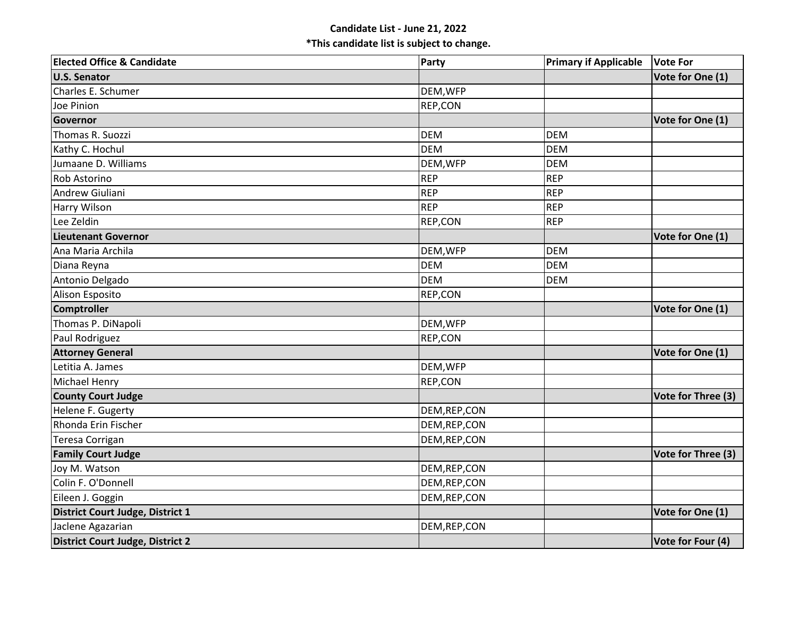## **Candidate List - June 21, 2022 \*This candidate list is subject to change.**

| <b>Elected Office &amp; Candidate</b> | Party         | <b>Primary if Applicable</b> | <b>Vote For</b>    |
|---------------------------------------|---------------|------------------------------|--------------------|
| <b>U.S. Senator</b>                   |               |                              | Vote for One (1)   |
| Charles E. Schumer                    | DEM, WFP      |                              |                    |
| Joe Pinion                            | REP,CON       |                              |                    |
| Governor                              |               |                              | Vote for One (1)   |
| Thomas R. Suozzi                      | <b>DEM</b>    | <b>DEM</b>                   |                    |
| Kathy C. Hochul                       | <b>DEM</b>    | <b>DEM</b>                   |                    |
| Jumaane D. Williams                   | DEM, WFP      | <b>DEM</b>                   |                    |
| <b>Rob Astorino</b>                   | <b>REP</b>    | <b>REP</b>                   |                    |
| Andrew Giuliani                       | <b>REP</b>    | <b>REP</b>                   |                    |
| <b>Harry Wilson</b>                   | <b>REP</b>    | <b>REP</b>                   |                    |
| Lee Zeldin                            | REP,CON       | <b>REP</b>                   |                    |
| <b>Lieutenant Governor</b>            |               |                              | Vote for One (1)   |
| Ana Maria Archila                     | DEM, WFP      | <b>DEM</b>                   |                    |
| Diana Reyna                           | <b>DEM</b>    | <b>DEM</b>                   |                    |
| Antonio Delgado                       | <b>DEM</b>    | <b>DEM</b>                   |                    |
| Alison Esposito                       | REP,CON       |                              |                    |
| <b>Comptroller</b>                    |               |                              | Vote for One (1)   |
| Thomas P. DiNapoli                    | DEM, WFP      |                              |                    |
| Paul Rodriguez                        | REP,CON       |                              |                    |
| <b>Attorney General</b>               |               |                              | Vote for One (1)   |
| Letitia A. James                      | DEM, WFP      |                              |                    |
| Michael Henry                         | REP,CON       |                              |                    |
| <b>County Court Judge</b>             |               |                              | Vote for Three (3) |
| Helene F. Gugerty                     | DEM, REP, CON |                              |                    |
| Rhonda Erin Fischer                   | DEM, REP, CON |                              |                    |
| Teresa Corrigan                       | DEM, REP, CON |                              |                    |
| <b>Family Court Judge</b>             |               |                              | Vote for Three (3) |
| Joy M. Watson                         | DEM, REP, CON |                              |                    |
| Colin F. O'Donnell                    | DEM, REP, CON |                              |                    |
| Eileen J. Goggin                      | DEM, REP, CON |                              |                    |
| District Court Judge, District 1      |               |                              | Vote for One (1)   |
| Jaclene Agazarian                     | DEM, REP, CON |                              |                    |
| District Court Judge, District 2      |               |                              | Vote for Four (4)  |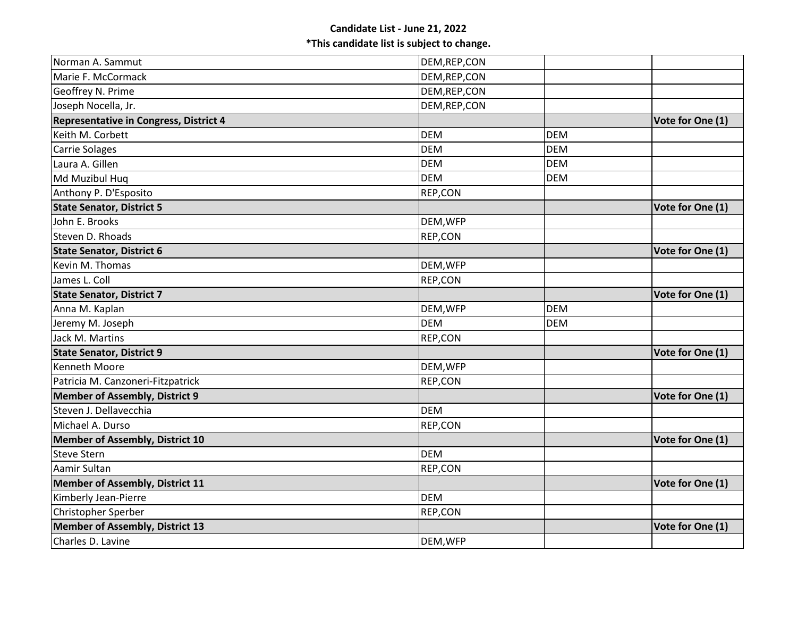| Norman A. Sammut                       | DEM, REP, CON |            |                  |
|----------------------------------------|---------------|------------|------------------|
| Marie F. McCormack                     | DEM, REP, CON |            |                  |
| Geoffrey N. Prime                      | DEM, REP, CON |            |                  |
| Joseph Nocella, Jr.                    | DEM, REP, CON |            |                  |
| Representative in Congress, District 4 |               |            | Vote for One (1) |
| Keith M. Corbett                       | <b>DEM</b>    | <b>DEM</b> |                  |
| <b>Carrie Solages</b>                  | <b>DEM</b>    | <b>DEM</b> |                  |
| Laura A. Gillen                        | <b>DEM</b>    | <b>DEM</b> |                  |
| Md Muzibul Hug                         | <b>DEM</b>    | <b>DEM</b> |                  |
| Anthony P. D'Esposito                  | REP,CON       |            |                  |
| <b>State Senator, District 5</b>       |               |            | Vote for One (1) |
| John E. Brooks                         | DEM, WFP      |            |                  |
| Steven D. Rhoads                       | REP,CON       |            |                  |
| <b>State Senator, District 6</b>       |               |            | Vote for One (1) |
| Kevin M. Thomas                        | DEM, WFP      |            |                  |
| James L. Coll                          | REP,CON       |            |                  |
| <b>State Senator, District 7</b>       |               |            | Vote for One (1) |
| Anna M. Kaplan                         | DEM, WFP      | <b>DEM</b> |                  |
| Jeremy M. Joseph                       | <b>DEM</b>    | <b>DEM</b> |                  |
| Jack M. Martins                        | REP,CON       |            |                  |
| <b>State Senator, District 9</b>       |               |            | Vote for One (1) |
| <b>Kenneth Moore</b>                   | DEM, WFP      |            |                  |
| Patricia M. Canzoneri-Fitzpatrick      | REP,CON       |            |                  |
| <b>Member of Assembly, District 9</b>  |               |            | Vote for One (1) |
| Steven J. Dellavecchia                 | <b>DEM</b>    |            |                  |
| Michael A. Durso                       | REP,CON       |            |                  |
| <b>Member of Assembly, District 10</b> |               |            | Vote for One (1) |
| <b>Steve Stern</b>                     | <b>DEM</b>    |            |                  |
| Aamir Sultan                           | REP,CON       |            |                  |
| <b>Member of Assembly, District 11</b> |               |            | Vote for One (1) |
| Kimberly Jean-Pierre                   | <b>DEM</b>    |            |                  |
| Christopher Sperber                    | REP,CON       |            |                  |
| <b>Member of Assembly, District 13</b> |               |            | Vote for One (1) |
| Charles D. Lavine                      | DEM, WFP      |            |                  |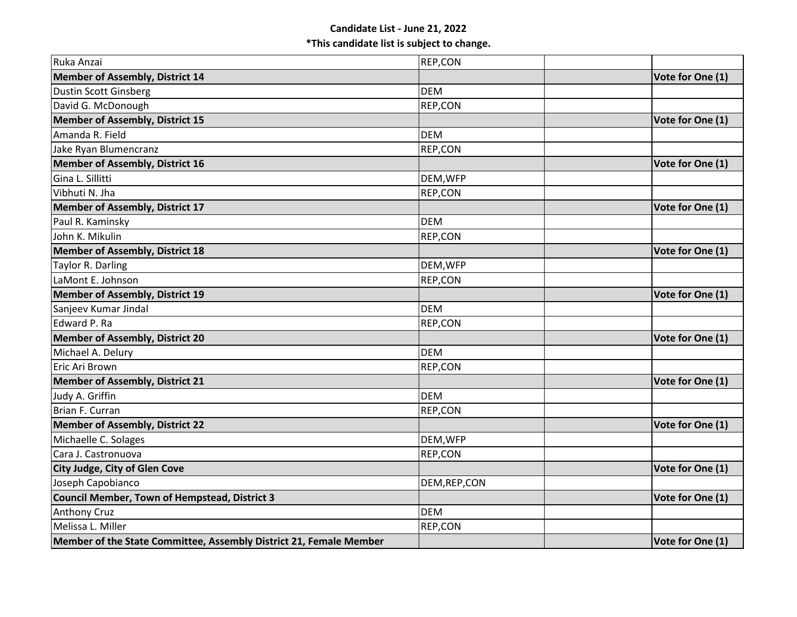## **Candidate List - June 21, 2022 \*This candidate list is subject to change.**

| Ruka Anzai                                                         | REP,CON       |                  |
|--------------------------------------------------------------------|---------------|------------------|
| Member of Assembly, District 14                                    |               | Vote for One (1) |
| <b>Dustin Scott Ginsberg</b>                                       | <b>DEM</b>    |                  |
| David G. McDonough                                                 | REP,CON       |                  |
| Member of Assembly, District 15                                    |               | Vote for One (1) |
| Amanda R. Field                                                    | <b>DEM</b>    |                  |
| Jake Ryan Blumencranz                                              | REP,CON       |                  |
| Member of Assembly, District 16                                    |               | Vote for One (1) |
| Gina L. Sillitti                                                   | DEM, WFP      |                  |
| Vibhuti N. Jha                                                     | REP,CON       |                  |
| <b>Member of Assembly, District 17</b>                             |               | Vote for One (1) |
| Paul R. Kaminsky                                                   | <b>DEM</b>    |                  |
| John K. Mikulin                                                    | REP,CON       |                  |
| <b>Member of Assembly, District 18</b>                             |               | Vote for One (1) |
| Taylor R. Darling                                                  | DEM, WFP      |                  |
| LaMont E. Johnson                                                  | REP,CON       |                  |
| <b>Member of Assembly, District 19</b>                             |               | Vote for One (1) |
| Sanjeev Kumar Jindal                                               | <b>DEM</b>    |                  |
| Edward P. Ra                                                       | REP,CON       |                  |
| <b>Member of Assembly, District 20</b>                             |               | Vote for One (1) |
| Michael A. Delury                                                  | <b>DEM</b>    |                  |
| Eric Ari Brown                                                     | REP,CON       |                  |
| <b>Member of Assembly, District 21</b>                             |               | Vote for One (1) |
| Judy A. Griffin                                                    | <b>DEM</b>    |                  |
| Brian F. Curran                                                    | REP,CON       |                  |
| <b>Member of Assembly, District 22</b>                             |               | Vote for One (1) |
| Michaelle C. Solages                                               | DEM, WFP      |                  |
| Cara J. Castronuova                                                | REP,CON       |                  |
| City Judge, City of Glen Cove                                      |               | Vote for One (1) |
| Joseph Capobianco                                                  | DEM, REP, CON |                  |
| <b>Council Member, Town of Hempstead, District 3</b>               |               | Vote for One (1) |
| <b>Anthony Cruz</b>                                                | <b>DEM</b>    |                  |
| Melissa L. Miller                                                  | REP,CON       |                  |
| Member of the State Committee, Assembly District 21, Female Member |               | Vote for One (1) |